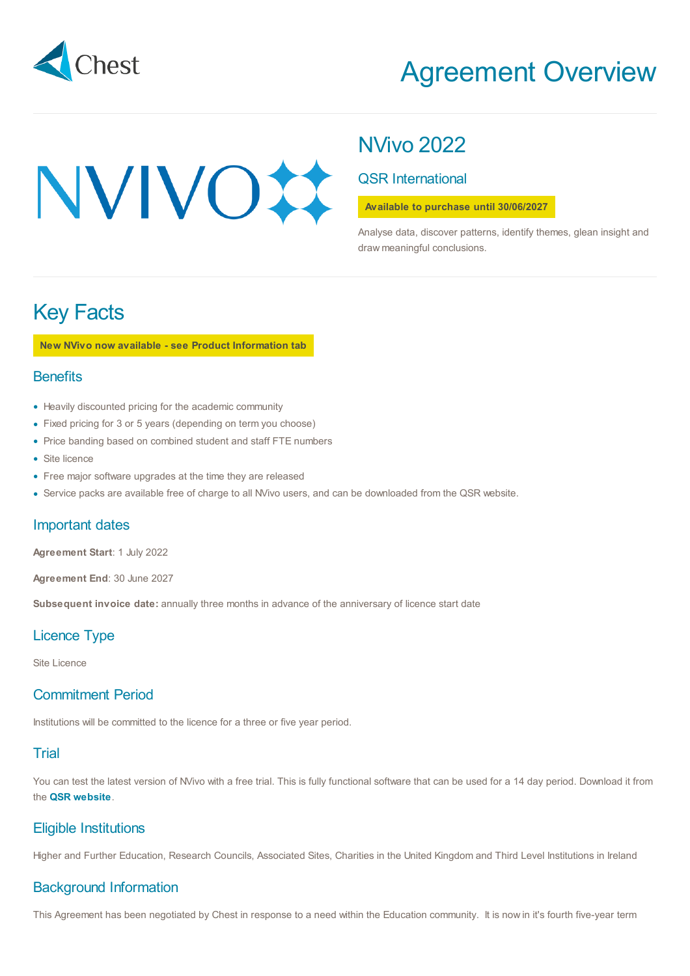

# Agreement Overview

# NVIVOX

# NVivo 2022

## QSR International

#### **Available to purchase until 30/06/2027**

Analyse data, discover patterns, identify themes, glean insight and draw meaningful conclusions.

# Key Facts

**New NVivo now available - see Product Information tab**

#### **Benefits**

- Heavily discounted pricing for the academic community
- Fixed pricing for 3 or 5 years (depending on term you choose)
- Price banding based on combined student and staff FTE numbers
- Site licence
- Free major software upgrades at the time they are released •
- Service packs are available free of charge to all NVivo users, and can be downloaded from the QSR website.

#### Important dates

**Agreement Start**: 1 July 2022

**Agreement End**: 30 June 2027

**Subsequent invoice date:** annually three months in advance of the anniversary of licence start date

## Licence Type

Site Licence

# Commitment Period

Institutions will be committed to the licence for a three or five year period.

## **Trial**

You can test the latest version of NVivo with a free trial. This is fully functional software that can be used for a 14 day period. Download it from the **QSR [website](https://www.qsrinternational.com/nvivo/products?utm_source=Chest&utm_medium=Chest%20website&utm_campaign=EMEA%20April2018%20Chest&utm_term=-&utm_content=-)**.

## Eligible Institutions

Higher and Further Education, Research Councils, Associated Sites, Charities in the United Kingdom and Third Level Institutions in Ireland

## Background Information

This Agreement has been negotiated by Chest in response to a need within the Education community. It is now in it's fourth five-year term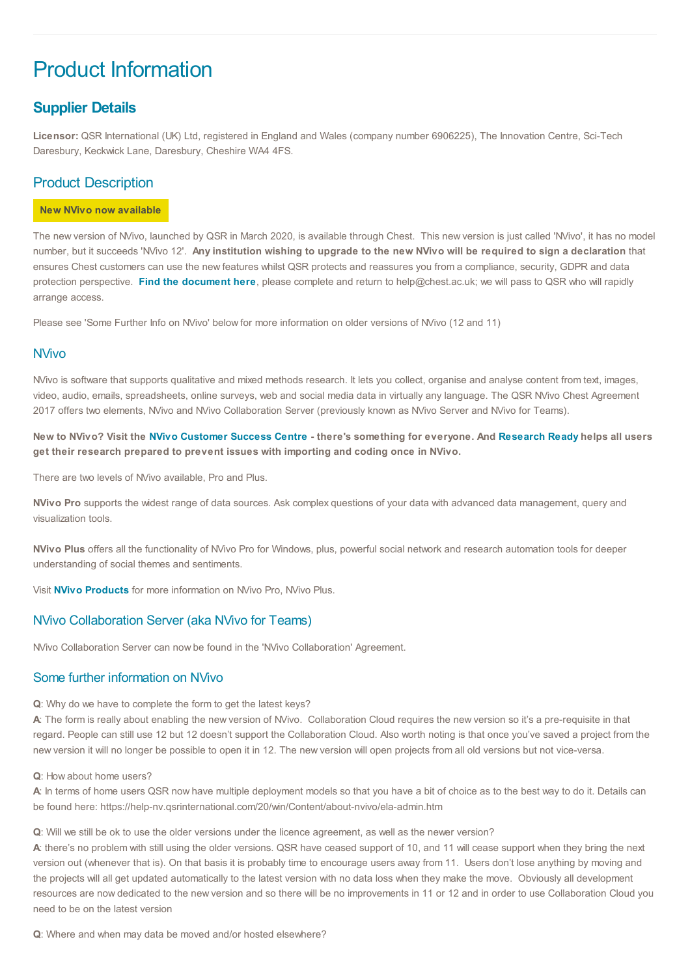# Product Information

## **Supplier Details**

**Licensor:** QSR International (UK) Ltd, registered in England and Wales (company number 6906225), The Innovation Centre, Sci-Tech Daresbury, Keckwick Lane, Daresbury, Cheshire WA4 4FS.

## Product Description

#### **New NVivo now available**

The new version of NVivo, launched by QSR in March 2020, is available through Chest. This new version is just called 'NVivo', it has no model number, but it succeeds 'NVivo 12'. Any institution wishing to upgrade to the new NVivo will be required to sign a declaration that ensures Chest customers can use the new features whilst QSR protects and reassures you from a compliance, security, GDPR and data protection perspective. **Find the [document](https://www.chest.ac.uk/media/3877/qsr-agreement-2017-2021-declaration-for-upgrade-v-july-21.pdf) here**, please complete and return to help@chest.ac.uk; we will pass to QSR who will rapidly arrange access.

Please see 'Some Further Info on NVivo' below for more information on older versions of NVivo (12 and 11)

#### NVivo

NVivo is software that supports qualitative and mixed methods research. It lets you collect, organise and analyse content from text, images, video, audio, emails, spreadsheets, online surveys, web and social media data in virtually any language. The QSR NVivo Chest Agreement 2017 offers two elements, NVivo and NVivo Collaboration Server (previously known as NVivo Server and NVivo for Teams).

New to NVivo? Visit the NVivo [Customer](https://www.qsrinternational.com/nvivo/customer-success?utm_source=Chest&utm_medium=Chest%20website&utm_campaign=EMEA%202018%20Chest&utm_term=Customer%20Success%20Center) Success Centre - there's something for everyone. And [Research](https://www.qsrinternational.com/nvivo/customer-success/research-ready?utm_source=Chest&utm_medium=Chest%20website&utm_campaign=EMEA%202018%20Chest&utm_term=Research%20Ready&utm_content=Research%20Ready) Ready helps all users **get their research prepared to prevent issues with importing and coding once in NVivo.**

There are two levels of NVivo available, Pro and Plus.

**NVivo Pro** supports the widest range of data sources. Ask complex questions of your data with advanced data management, query and visualization tools.

**NVivo Plus** offers all the functionality of NVivo Pro for Windows, plus, powerful social network and research automation tools for deeper understanding of social themes and sentiments.

Visit **NVivo [Products](http://www.qsrinternational.com/nvivo/nvivo-products?utm_source=Chest&utm_medium=Chest%20website&utm_campaign=EMEA%20April2018%20Chest&utm_term=-&utm_content=-)** for more information on NVivo Pro, NVivo Plus.

#### NVivo Collaboration Server (aka NVivo for Teams)

NVivo Collaboration Server can now be found in the 'NVivo Collaboration' Agreement.

#### Some further information on NVivo

**Q**: Why do we have to complete the form to get the latest keys?

**A**: The form is really about enabling the new version of NVivo. Collaboration Cloud requires the new version so it's a pre-requisite in that regard. People can still use 12 but 12 doesn't support the Collaboration Cloud. Also worth noting is that once you've saved a project from the new version it will no longer be possible to open it in 12. The new version will open projects from all old versions but not vice-versa.

**Q**: How about home users?

**A**: In terms of home users QSR now have multiple deployment models so that you have a bit of choice as to the best way to do it. Details can be found here: https://help-nv.qsrinternational.com/20/win/Content/about-nvivo/ela-admin.htm

**Q**: Will we still be ok to use the older versions under the licence agreement, as well as the newer version?

**A**: there's no problem with still using the older versions. QSR have ceased support of 10, and 11 will cease support when they bring the next version out (whenever that is). On that basis it is probably time to encourage users away from 11. Users don't lose anything by moving and the projects will all get updated automatically to the latest version with no data loss when they make the move. Obviously all development resources are now dedicated to the new version and so there will be no improvements in 11 or 12 and in order to use Collaboration Cloud you need to be on the latest version

**Q**: Where and when may data be moved and/or hosted elsewhere?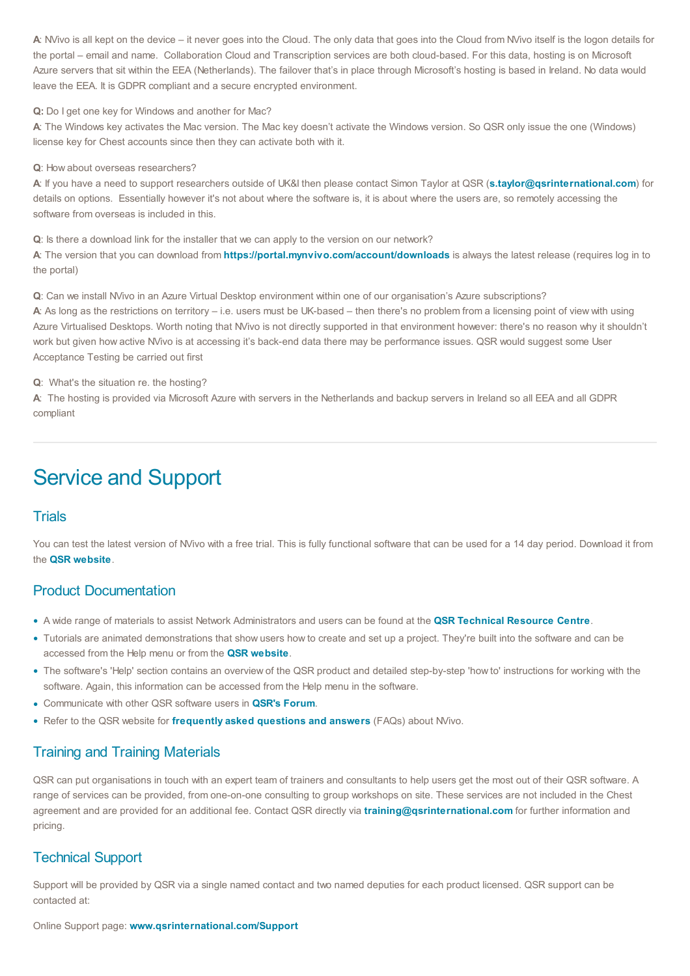A: NVivo is all kept on the device – it never goes into the Cloud. The only data that goes into the Cloud from NVivo itself is the logon details for the portal – email and name. Collaboration Cloud and Transcription services are both cloud-based. For this data, hosting is on Microsoft Azure servers that sit within the EEA (Netherlands). The failover that's in place through Microsoft's hosting is based in Ireland. No data would leave the EEA. It is GDPR compliant and a secure encrypted environment.

**Q:** Do I get one key for Windows and another for Mac?

**A**: The Windows key activates the Mac version. The Mac key doesn't activate the Windows version. So QSR only issue the one (Windows) license key for Chest accounts since then they can activate both with it.

#### **Q**: How about overseas researchers?

**A**: If you have a need to support researchers outside of UK&I then please contact Simon Taylor at QSR (**[s.taylor@qsrinternational.com](mailto:s.taylor@qsrinternational.com)**) for details on options. Essentially however it's not about where the software is, it is about where the users are, so remotely accessing the software from overseas is included in this.

**Q**: Is there a download link for the installer that we can apply to the version on our network?

**A**: The version that you can download from **<https://portal.mynvivo.com/account/downloads>** is always the latest release (requires log in to the portal)

**Q**: Can we install NVivo in an Azure Virtual Desktop environment within one of our organisation's Azure subscriptions?

**A**: As long as the restrictions on territory – i.e. users must be UK-based – then there's no problem from a licensing point of view with using Azure Virtualised Desktops. Worth noting that NVivo is not directly supported in that environment however: there's no reason why it shouldn't work but given how active NVivo is at accessing it's back-end data there may be performance issues. QSR would suggest some User Acceptance Testing be carried out first

**Q**: What's the situation re. the hosting?

**A**: The hosting is provided via Microsoft Azure with servers in the Netherlands and backup servers in Ireland so all EEA and all GDPR compliant

# Service and Support

#### **Trials**

You can test the latest version of NVivo with a free trial. This is fully functional software that can be used for a 14 day period. Download it from the **QSR [website](https://www.qsrinternational.com/nvivo/products?utm_source=Chest&utm_medium=Chest%20website&utm_campaign=EMEA%20April2018%20Chest&utm_term=-&utm_content=-)**.

#### Product Documentation

- A wide range of materials to assist Network Administrators and users can be found at the **QSR [Technical](http://techcenter.qsrinternational.com/desktop/welcome/toc_welcome.htm) Resource Centre**. •
- Tutorials are animated demonstrations that show users how to create and set up a project. They're built into the software and can be accessed from the Help menu or from the **QSR [website](https://www.chest.ac.uk/www.qsrinternational.com/nvivo/free-nvivo-resources/tutorials?utm_source=Chest&utm_medium=Chest%20website&utm_campaign=EMEA%20April2018%20Chest&utm_term=-&utm_content=-)**.
- The software's 'Help' section contains an overview of the QSR product and detailed step-by-step 'how to' instructions for working with the software. Again, this information can be accessed from the Help menu in the software.
- Communicate with other QSR software users in **QSR's [Forum](https://forums.nvivobyqsr.com/)**. •
- Refer to the QSR website for **[frequently](http://www.qsrinternational.com/nvivo/support-overview?utm_source=Chest&utm_medium=Chest%20website&utm_campaign=EMEA%20April2018%20Chest&utm_term=-&utm_content=-) asked questions and answers** (FAQs) about NVivo. •

## Training and Training Materials

QSR can put organisations in touch with an expert team of trainers and consultants to help users get the most out of their QSR software. A range of services can be provided, from one-on-one consulting to group workshops on site. These services are not included in the Chest agreement and are provided for an additional fee. Contact QSR directly via **[training@qsrinternational.com](mailto:training@qsrinternational.com)** for further information and pricing.

## Technical Support

Support will be provided by QSR via a single named contact and two named deputies for each product licensed. QSR support can be contacted at: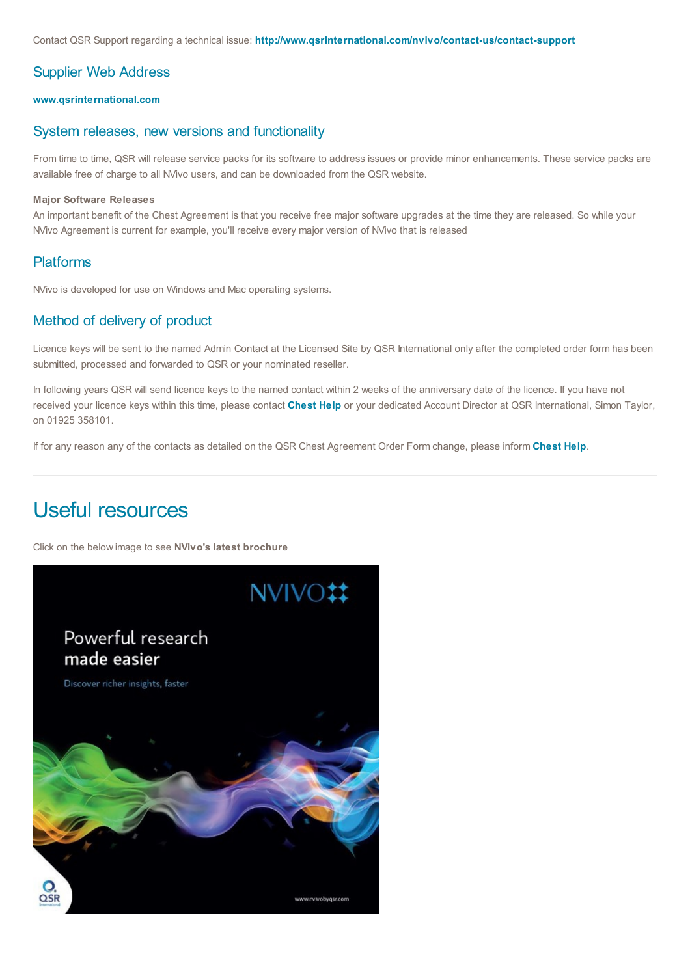Contact QSR Support regarding a technical issue: **[http://www.qsrinternational.com/nvivo/contact-us/contact-support](http://www.qsrinternational.com/nvivo/contact-us/contact-support?utm_source=Chest&utm_medium=Chest%20website&utm_campaign=EMEA%2020April2018%20Chest&utm_content=web%20content)**

#### Supplier Web Address

#### **[www.qsrinternational.com](https://www.qsrinternational.com/nvivo/home?utm_source=Chest&utm_medium=Chest%20website&utm_campaign=EMEA%20April2018%20Chest&utm_term=-&utm_content=-)**

#### System releases, new versions and functionality

From time to time, QSR will release service packs for its software to address issues or provide minor enhancements. These service packs are available free of charge to all NVivo users, and can be downloaded from the QSR website.

#### **Major Software Releases**

An important benefit of the Chest Agreement is that you receive free major software upgrades at the time they are released. So while your NVivo Agreement is current for example, you'll receive every major version of NVivo that is released

#### Platforms

NVivo is developed for use on Windows and Mac operating systems.

#### Method of delivery of product

Licence keys will be sent to the named Admin Contact at the Licensed Site by QSR International only after the completed order form has been submitted, processed and forwarded to QSR or your nominated reseller.

In following years QSR will send licence keys to the named contact within 2 weeks of the anniversary date of the licence. If you have not received your licence keys within this time, please contact **[Chest](mailto:help@chest.ac.uk?subject=QSR%20NVivo%20licence%20keys) Help** or your dedicated Account Director at QSR International, Simon Taylor, on 01925 358101.

If for any reason any of the contacts as detailed on the QSR Chest Agreement Order Form change, please inform **[Chest](mailto:help@chest.ac.uk?subject=QSR%20Changes%20to%20Contacts) Help**.

# Useful resources

Click on the below image to see **NVivo's latest brochure**

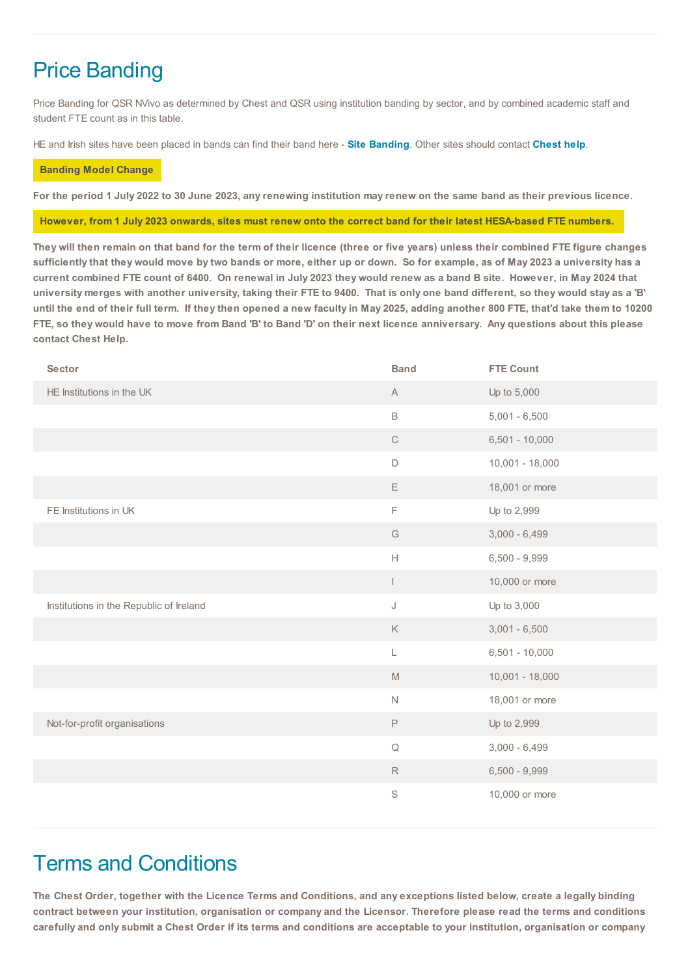# Price Banding

Price Banding for QSR NVivo as determined by Chest and QSR using institution banding by sector, and by combined academic staff and student FTE count as in this table.

HE and Irish sites have been placed in bands can find their band here - **Site [Banding](https://www.chest.ac.uk/media/3908/qsr-2022-site-band-list.pdf)**. Other sites should contact **[Chest](mailto:help@chest.ac.uk?subject=QSR%20NVivo%20Price%20Band%20enquiry) help**.

#### **Banding Model Change**

For the period 1 July 2022 to 30 June 2023, any renewing institution may renew on the same band as their previous licence.

#### However, from 1 July 2023 onwards, sites must renew onto the correct band for their latest HESA-based FTE numbers.

They will then remain on that band for the term of their licence (three or five years) unless their combined FTE figure changes sufficiently that they would move by two bands or more, either up or down. So for example, as of May 2023 a university has a current combined FTE count of 6400. On renewal in July 2023 they would renew as a band B site. However, in May 2024 that university merges with another university, taking their FTE to 9400. That is only one band different, so they would stay as a 'B' until the end of their full term. If they then opened a new faculty in May 2025, adding another 800 FTE, that'd take them to 10200 FTE, so they would have to move from Band 'B' to Band 'D' on their next licence anniversary. Any questions about this please **contact Chest Help.**

| Sector                                  | <b>Band</b>                                                                                                          | <b>FTE Count</b>  |
|-----------------------------------------|----------------------------------------------------------------------------------------------------------------------|-------------------|
| HE Institutions in the UK               | $\mathsf{A}$                                                                                                         | Up to 5,000       |
|                                         | $\mathsf B$                                                                                                          | $5,001 - 6,500$   |
|                                         | $\mathsf C$                                                                                                          | $6,501 - 10,000$  |
|                                         | $\mathsf D$                                                                                                          | $10,001 - 18,000$ |
|                                         | Ε                                                                                                                    | 18,001 or more    |
| FE Institutions in UK                   | F                                                                                                                    | Up to 2,999       |
|                                         | $\mathbb{G}% _{\mathbb{Z}}$                                                                                          | $3,000 - 6,499$   |
|                                         | $\mathsf{H}% _{\mathbb{R}}^{X\times X}=\mathsf{H}_{\mathbb{R}}^{X\times X}\times\mathsf{H}_{\mathbb{R}}^{X\times X}$ | $6,500 - 9,999$   |
|                                         | L                                                                                                                    | 10,000 or more    |
| Institutions in the Republic of Ireland | J                                                                                                                    | Up to 3,000       |
|                                         | $\mathsf K$                                                                                                          | $3,001 - 6,500$   |
|                                         | L                                                                                                                    | $6,501 - 10,000$  |
|                                         | $\mathbb M$                                                                                                          | $10,001 - 18,000$ |
|                                         | $\hbox{N}$                                                                                                           | 18,001 or more    |
| Not-for-profit organisations            | $\mathsf P$                                                                                                          | Up to 2,999       |
|                                         | $\hbox{\large \bf Q}$                                                                                                | $3,000 - 6,499$   |
|                                         | $\mathsf R$                                                                                                          | $6,500 - 9,999$   |
|                                         | S                                                                                                                    | 10,000 or more    |
|                                         |                                                                                                                      |                   |

# Terms and Conditions

The Chest Order, together with the Licence Terms and Conditions, and any exceptions listed below, create a legally binding contract between your institution, organisation or company and the Licensor. Therefore please read the terms and conditions carefully and only submit a Chest Order if its terms and conditions are acceptable to your institution, organisation or company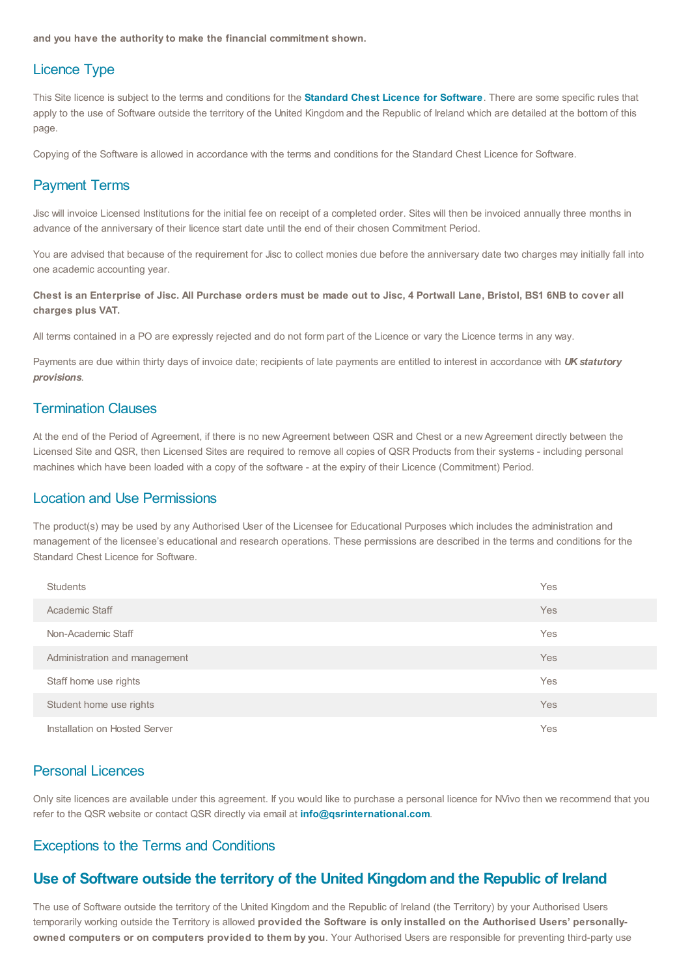**and you have the authority to make the financial commitment shown.**

#### Licence Type

This Site licence is subject to the terms and conditions for the **[Standard](https://www.chest.ac.uk/standard-software-licence/) Chest Licence for Software**. There are some specific rules that apply to the use of Software outside the territory of the United Kingdom and the Republic of Ireland which are detailed at the bottom of this page.

Copying of the Software is allowed in accordance with the terms and conditions for the Standard Chest Licence for Software.

#### Payment Terms

Jisc will invoice Licensed Institutions for the initial fee on receipt of a completed order. Sites will then be invoiced annually three months in advance of the anniversary of their licence start date until the end of their chosen Commitment Period.

You are advised that because of the requirement for Jisc to collect monies due before the anniversary date two charges may initially fall into one academic accounting year.

#### Chest is an Enterprise of Jisc. All Purchase orders must be made out to Jisc, 4 Portwall Lane, Bristol, BS1 6NB to cover all **charges plus VAT.**

All terms contained in a PO are expressly rejected and do not form part of the Licence or vary the Licence terms in any way.

Payments are due within thirty days of invoice date; recipients of late payments are entitled to interest in accordance with *UK statutory provisions*.

#### Termination Clauses

At the end of the Period of Agreement, if there is no new Agreement between QSR and Chest or a new Agreement directly between the Licensed Site and QSR, then Licensed Sites are required to remove all copies of QSR Products from their systems - including personal machines which have been loaded with a copy of the software - at the expiry of their Licence (Commitment) Period.

#### Location and Use Permissions

The product(s) may be used by any Authorised User of the Licensee for Educational Purposes which includes the administration and management of the licensee's educational and research operations. These permissions are described in the terms and conditions for the Standard Chest Licence for Software.

| Students                      | Yes |
|-------------------------------|-----|
| Academic Staff                | Yes |
| Non-Academic Staff            | Yes |
| Administration and management | Yes |
| Staff home use rights         | Yes |
| Student home use rights       | Yes |
| Installation on Hosted Server | Yes |

#### Personal Licences

Only site licences are available under this agreement. If you would like to purchase a personal licence for NVivo then we recommend that you refer to the QSR website or contact QSR directly via email at **[info@qsrinternational.com](mailto:info@qsrinternational.com)**.

#### Exceptions to the Terms and Conditions

#### **Use of Software outside the territory of the United Kingdom and the Republic of Ireland**

The use of Software outside the territory of the United Kingdom and the Republic of Ireland (the Territory) by your Authorised Users temporarily working outside the Territory is allowed **provided the Software is only installed on the Authorised Users' personallyowned computers or on computers provided to them by you**. Your Authorised Users are responsible for preventing third-party use